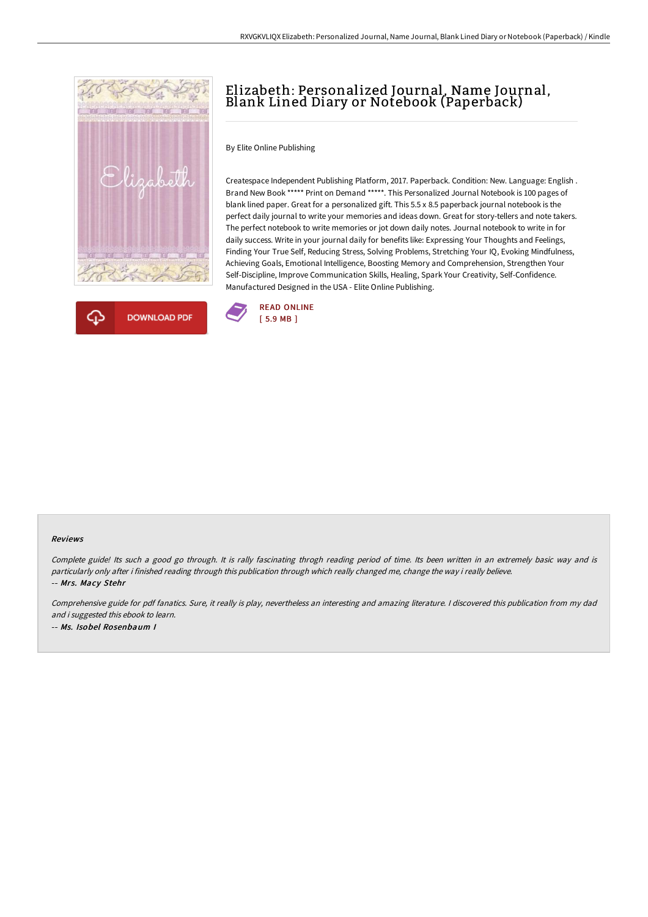



## Elizabeth: Personalized Journal, Name Journal, Blank Lined Diary or Notebook (Paperback)

By Elite Online Publishing

Createspace Independent Publishing Platform, 2017. Paperback. Condition: New. Language: English . Brand New Book \*\*\*\*\* Print on Demand \*\*\*\*\*. This Personalized Journal Notebook is 100 pages of blank lined paper. Great for a personalized gift. This 5.5 x 8.5 paperback journal notebook is the perfect daily journal to write your memories and ideas down. Great for story-tellers and note takers. The perfect notebook to write memories or jot down daily notes. Journal notebook to write in for daily success. Write in your journal daily for benefits like: Expressing Your Thoughts and Feelings, Finding Your True Self, Reducing Stress, Solving Problems, Stretching Your IQ, Evoking Mindfulness, Achieving Goals, Emotional Intelligence, Boosting Memory and Comprehension, Strengthen Your Self-Discipline, Improve Communication Skills, Healing, Spark Your Creativity, Self-Confidence. Manufactured Designed in the USA - Elite Online Publishing.



## Reviews

Complete guide! Its such <sup>a</sup> good go through. It is rally fascinating throgh reading period of time. Its been written in an extremely basic way and is particularly only after i finished reading through this publication through which really changed me, change the way i really believe. -- Mrs. Macy Stehr

Comprehensive guide for pdf fanatics. Sure, it really is play, nevertheless an interesting and amazing literature. <sup>I</sup> discovered this publication from my dad and i suggested this ebook to learn. -- Ms. Isobel Rosenbaum I